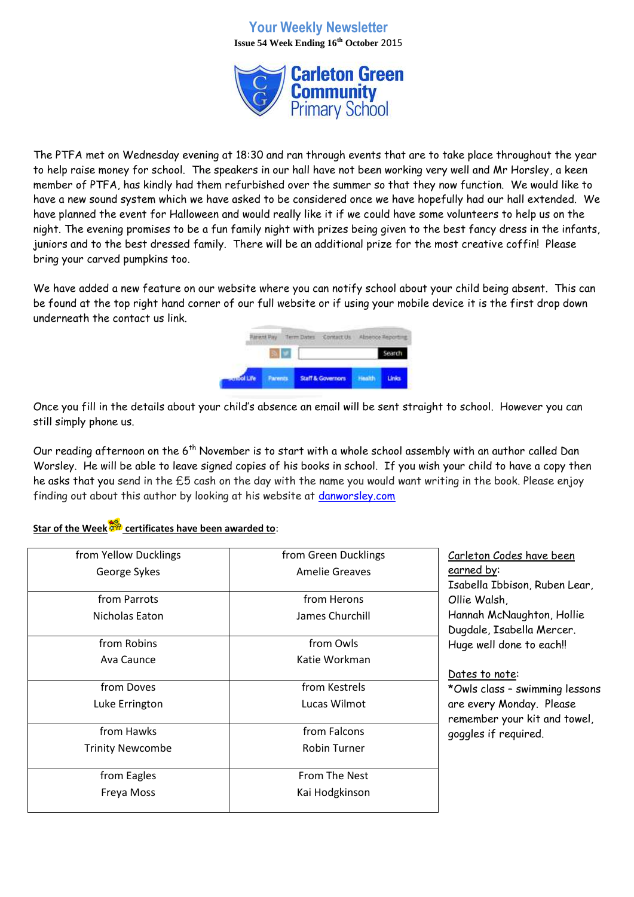## **Your Weekly Newsletter Issue 54 Week Ending 16th October** 2015



The PTFA met on Wednesday evening at 18:30 and ran through events that are to take place throughout the year to help raise money for school. The speakers in our hall have not been working very well and Mr Horsley, a keen member of PTFA, has kindly had them refurbished over the summer so that they now function. We would like to have a new sound system which we have asked to be considered once we have hopefully had our hall extended. We have planned the event for Halloween and would really like it if we could have some volunteers to help us on the night. The evening promises to be a fun family night with prizes being given to the best fancy dress in the infants, juniors and to the best dressed family. There will be an additional prize for the most creative coffin! Please bring your carved pumpkins too.

We have added a new feature on our website where you can notify school about your child being absent. This can be found at the top right hand corner of our full website or if using your mobile device it is the first drop down underneath the contact us link.



Once you fill in the details about your child's absence an email will be sent straight to school. However you can still simply phone us.

Our reading afternoon on the 6<sup>th</sup> November is to start with a whole school assembly with an author called Dan Worsley. He will be able to leave signed copies of his books in school. If you wish your child to have a copy then he asks that you send in the £5 cash on the day with the name you would want writing in the book. Please enjoy finding out about this author by looking at his website at [danworsley.com](http://danworsley.com/)

## **Star of the Week certificates have been awarded to**:

| from Yellow Ducklings   | from Green Ducklings  | Carleton Codes have been       |
|-------------------------|-----------------------|--------------------------------|
| George Sykes            | <b>Amelie Greaves</b> | earned by:                     |
|                         |                       | Isabella Ibbison, Ruben Lear,  |
| from Parrots            | from Herons           | Ollie Walsh,                   |
| Nicholas Eaton          | James Churchill       | Hannah McNaughton, Hollie      |
|                         |                       | Dugdale, Isabella Mercer.      |
| from Robins             | from Owls             | Huge well done to each!!       |
| Ava Caunce              | Katie Workman         |                                |
|                         |                       | Dates to note:                 |
| from Doves              | from Kestrels         | *Owls class - swimming lessons |
| Luke Errington          | Lucas Wilmot          | are every Monday. Please       |
|                         |                       | remember your kit and towel,   |
| from Hawks              | from Falcons          | goggles if required.           |
| <b>Trinity Newcombe</b> | <b>Robin Turner</b>   |                                |
|                         |                       |                                |
| from Eagles             | From The Nest         |                                |
| Freya Moss              | Kai Hodgkinson        |                                |
|                         |                       |                                |